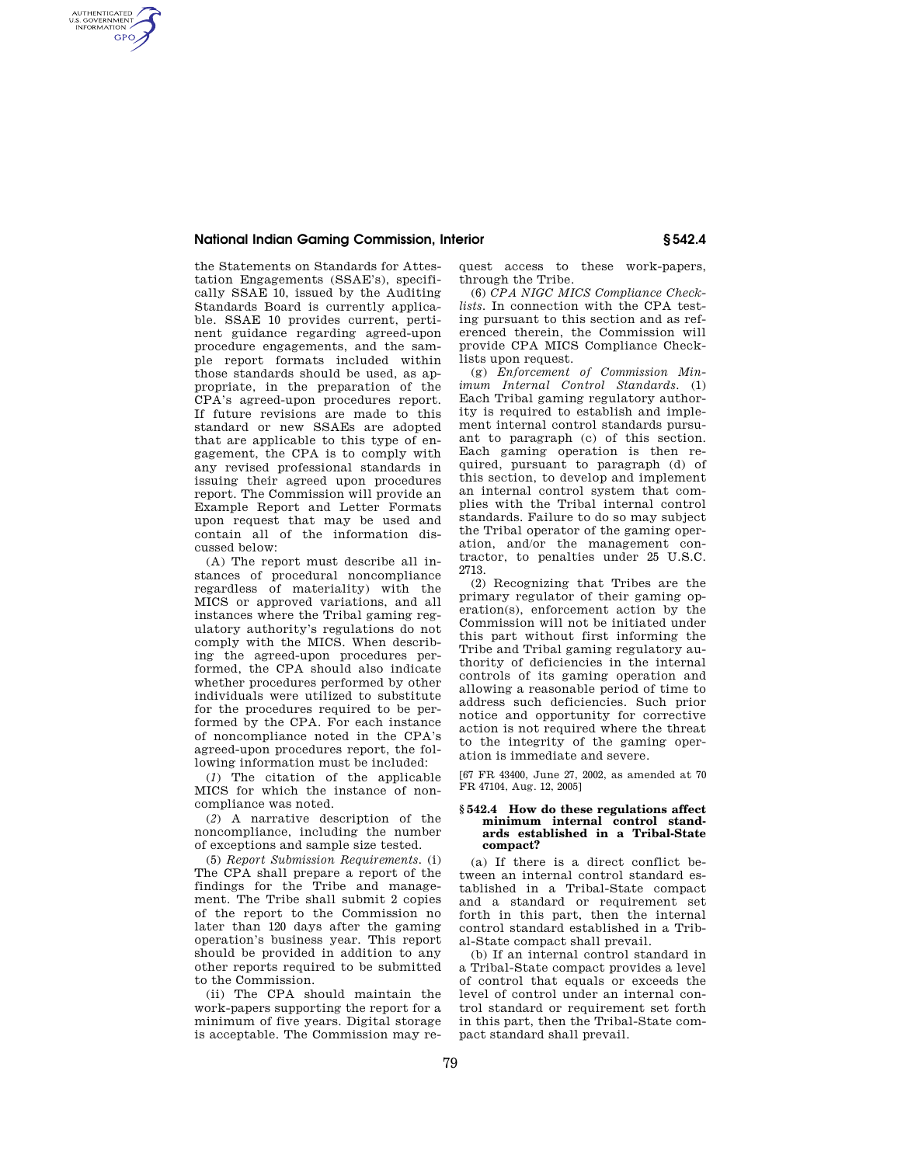## **National Indian Gaming Commission, Interior § 542.4**

AUTHENTICATED<br>U.S. GOVERNMENT<br>INFORMATION **GPO** 

the Statements on Standards for Attestation Engagements (SSAE's), specifically SSAE 10, issued by the Auditing Standards Board is currently applicable. SSAE 10 provides current, pertinent guidance regarding agreed-upon procedure engagements, and the sample report formats included within those standards should be used, as appropriate, in the preparation of the CPA's agreed-upon procedures report. If future revisions are made to this standard or new SSAEs are adopted that are applicable to this type of engagement, the CPA is to comply with any revised professional standards in issuing their agreed upon procedures report. The Commission will provide an Example Report and Letter Formats upon request that may be used and contain all of the information discussed below:

(A) The report must describe all instances of procedural noncompliance regardless of materiality) with the MICS or approved variations, and all instances where the Tribal gaming regulatory authority's regulations do not comply with the MICS. When describing the agreed-upon procedures performed, the CPA should also indicate whether procedures performed by other individuals were utilized to substitute for the procedures required to be performed by the CPA. For each instance of noncompliance noted in the CPA's agreed-upon procedures report, the following information must be included:

(*1*) The citation of the applicable MICS for which the instance of noncompliance was noted.

(*2*) A narrative description of the noncompliance, including the number of exceptions and sample size tested.

(5) *Report Submission Requirements.* (i) The CPA shall prepare a report of the findings for the Tribe and management. The Tribe shall submit 2 copies of the report to the Commission no later than 120 days after the gaming operation's business year. This report should be provided in addition to any other reports required to be submitted to the Commission.

(ii) The CPA should maintain the work-papers supporting the report for a minimum of five years. Digital storage is acceptable. The Commission may request access to these work-papers, through the Tribe.

(6) *CPA NIGC MICS Compliance Checklists.* In connection with the CPA testing pursuant to this section and as referenced therein, the Commission will provide CPA MICS Compliance Checklists upon request.

(g) *Enforcement of Commission Minimum Internal Control Standards.* (1) Each Tribal gaming regulatory authority is required to establish and implement internal control standards pursuant to paragraph (c) of this section. Each gaming operation is then required, pursuant to paragraph (d) of this section, to develop and implement an internal control system that complies with the Tribal internal control standards. Failure to do so may subject the Tribal operator of the gaming operation, and/or the management contractor, to penalties under 25 U.S.C. 2713.

(2) Recognizing that Tribes are the primary regulator of their gaming operation(s), enforcement action by the Commission will not be initiated under this part without first informing the Tribe and Tribal gaming regulatory authority of deficiencies in the internal controls of its gaming operation and allowing a reasonable period of time to address such deficiencies. Such prior notice and opportunity for corrective action is not required where the threat to the integrity of the gaming operation is immediate and severe.

[67 FR 43400, June 27, 2002, as amended at 70 FR 47104, Aug. 12, 2005]

## **§ 542.4 How do these regulations affect minimum internal control standards established in a Tribal-State compact?**

(a) If there is a direct conflict between an internal control standard established in a Tribal-State compact and a standard or requirement set forth in this part, then the internal control standard established in a Tribal-State compact shall prevail.

(b) If an internal control standard in a Tribal-State compact provides a level of control that equals or exceeds the level of control under an internal control standard or requirement set forth in this part, then the Tribal-State compact standard shall prevail.